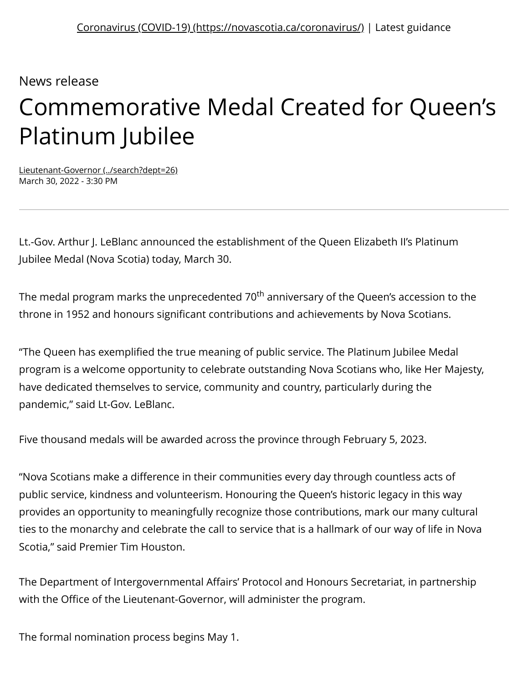News release

## Commemorative Medal Created for Queen's Platinum Jubilee

[Lieutenant-Governor \(../search?dept=26\)](https://novascotia.ca/news/search?dept=26) March 30, 2022 - 3:30 PM

Lt.-Gov. Arthur J. LeBlanc announced the establishment of the Queen Elizabeth II's Platinum Jubilee Medal (Nova Scotia) today, March 30.

The medal program marks the unprecedented 70<sup>th</sup> anniversary of the Queen's accession to the throne in 1952 and honours significant contributions and achievements by Nova Scotians.

"The Queen has exemplified the true meaning of public service. The Platinum Jubilee Medal program is a welcome opportunity to celebrate outstanding Nova Scotians who, like Her Majesty, have dedicated themselves to service, community and country, particularly during the pandemic," said Lt-Gov. LeBlanc.

Five thousand medals will be awarded across the province through February 5, 2023.

"Nova Scotians make a difference in their communities every day through countless acts of public service, kindness and volunteerism. Honouring the Queen's historic legacy in this way provides an opportunity to meaningfully recognize those contributions, mark our many cultural ties to the monarchy and celebrate the call to service that is a hallmark of our way of life in Nova Scotia," said Premier Tim Houston.

The Department of Intergovernmental Affairs' Protocol and Honours Secretariat, in partnership with the Office of the Lieutenant-Governor, will administer the program.

The formal nomination process begins May 1.